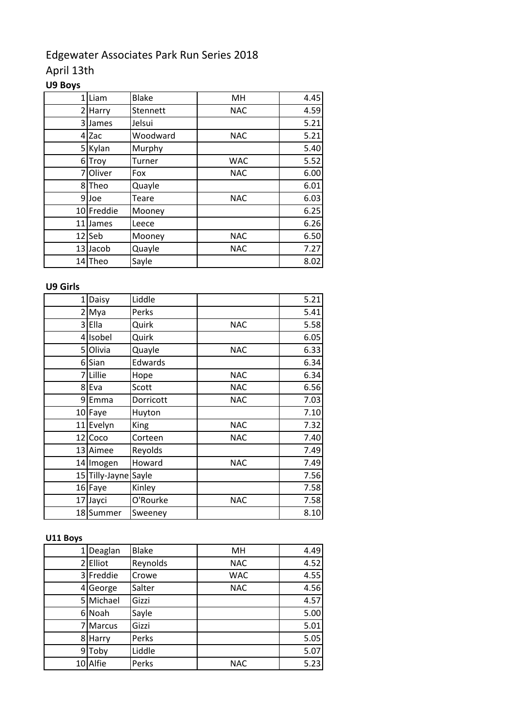# Edgewater Associates Park Run Series 2018

## April 13th

## **U9 Boys**

| 1  | Liam       | <b>Blake</b> | MH         | 4.45 |
|----|------------|--------------|------------|------|
| 2  | Harry      | Stennett     | <b>NAC</b> | 4.59 |
| 3  | James      | Jelsui       |            | 5.21 |
| 4  | Zac        | Woodward     | <b>NAC</b> | 5.21 |
| 5  | Kylan      | Murphy       |            | 5.40 |
| 6  | Troy       | Turner       | <b>WAC</b> | 5.52 |
| 7  | Oliver     | Fox          | <b>NAC</b> | 6.00 |
| 8  | Theo       | Quayle       |            | 6.01 |
| 9  | Joe        | Teare        | <b>NAC</b> | 6.03 |
|    | 10 Freddie | Mooney       |            | 6.25 |
| 11 | James      | Leece        |            | 6.26 |
|    | 12 Seb     | Mooney       | <b>NAC</b> | 6.50 |
|    | 13 Jacob   | Quayle       | <b>NAC</b> | 7.27 |
|    | 14 Theo    | Sayle        |            | 8.02 |

### **U9 Girls**

| $\mathbf{1}$   | Daisy                | Liddle      |            | 5.21 |
|----------------|----------------------|-------------|------------|------|
| $\overline{2}$ | Mya                  | Perks       |            | 5.41 |
| $\overline{3}$ | Ella                 | Quirk       | <b>NAC</b> | 5.58 |
| 4              | Isobel               | Quirk       |            | 6.05 |
| 5              | Olivia               | Quayle      | <b>NAC</b> | 6.33 |
| 6              | Sian                 | Edwards     |            | 6.34 |
|                | 7 Lillie             | Hope        | <b>NAC</b> | 6.34 |
|                | 8 Eva                | Scott       | <b>NAC</b> | 6.56 |
| 9              | Emma                 | Dorricott   | <b>NAC</b> | 7.03 |
|                | 10 Faye              | Huyton      |            | 7.10 |
|                | 11 Evelyn            | <b>King</b> | <b>NAC</b> | 7.32 |
|                | 12 Coco              | Corteen     | <b>NAC</b> | 7.40 |
|                | 13 Aimee             | Reyolds     |            | 7.49 |
|                | 14 Imogen            | Howard      | <b>NAC</b> | 7.49 |
|                | 15 Tilly-Jayne Sayle |             |            | 7.56 |
|                | 16 Faye              | Kinley      |            | 7.58 |
|                | 17 Jayci             | O'Rourke    | <b>NAC</b> | 7.58 |
|                | 18 Summer            | Sweeney     |            | 8.10 |

### **U11 Boys**

|    | Deaglan   | <b>Blake</b> | MH         | 4.49 |
|----|-----------|--------------|------------|------|
| 2  | Elliot    | Reynolds     | <b>NAC</b> | 4.52 |
|    | 3 Freddie | Crowe        | <b>WAC</b> | 4.55 |
|    | 4 George  | Salter       | <b>NAC</b> | 4.56 |
|    | 5 Michael | Gizzi        |            | 4.57 |
|    | 6 Noah    | Sayle        |            | 5.00 |
|    | 7 Marcus  | Gizzi        |            | 5.01 |
| 81 | Harry     | Perks        |            | 5.05 |
|    | 9 Toby    | Liddle       |            | 5.07 |
|    | 10 Alfie  | Perks        | <b>NAC</b> | 5.23 |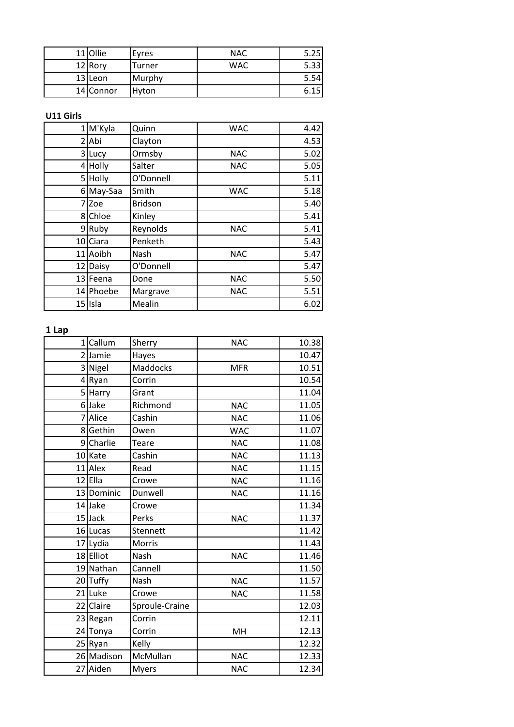| 11 Ollie  | Eyres        | <b>NAC</b> | 5.25 |
|-----------|--------------|------------|------|
| 12 Rory   | Turner       | <b>WAC</b> | 5.33 |
| 13 Leon   | Murphy       |            | 5.54 |
| 14 Connor | <b>Hyton</b> |            | 6.15 |

#### **U11 Girls**

|                | 1 M'Kyla  | Quinn          | <b>WAC</b> | 4.42 |
|----------------|-----------|----------------|------------|------|
| $\overline{2}$ | Abi       | Clayton        |            | 4.53 |
|                | 3 Lucy    | Ormsby         | <b>NAC</b> | 5.02 |
|                | 4 Holly   | Salter         | <b>NAC</b> | 5.05 |
|                | 5 Holly   | O'Donnell      |            | 5.11 |
|                | 6 May-Saa | Smith          | <b>WAC</b> | 5.18 |
| 7              | Zoe       | <b>Bridson</b> |            | 5.40 |
|                | 8 Chloe   | Kinley         |            | 5.41 |
|                | 9 Ruby    | Reynolds       | <b>NAC</b> | 5.41 |
|                | 10 Ciara  | Penketh        |            | 5.43 |
|                | 11 Aoibh  | Nash           | <b>NAC</b> | 5.47 |
|                | 12 Daisy  | O'Donnell      |            | 5.47 |
|                | 13 Feena  | Done           | <b>NAC</b> | 5.50 |
|                | 14 Phoebe | Margrave       | <b>NAC</b> | 5.51 |
|                | 15 Isla   | Mealin         |            | 6.02 |

### **1 Lap**

| 1 Callum   | Sherry         | <b>NAC</b> | 10.38 |
|------------|----------------|------------|-------|
| 2 Jamie    | Hayes          |            | 10.47 |
| 3 Nigel    | Maddocks       | <b>MFR</b> | 10.51 |
| 4Ryan      | Corrin         |            | 10.54 |
| 5 Harry    | Grant          |            | 11.04 |
| 6 Jake     | Richmond       | <b>NAC</b> | 11.05 |
| 7 Alice    | Cashin         | <b>NAC</b> | 11.06 |
| 8 Gethin   | Owen           | <b>WAC</b> | 11.07 |
| 9 Charlie  | Teare          | <b>NAC</b> | 11.08 |
| 10 Kate    | Cashin         | <b>NAC</b> | 11.13 |
| 11 Alex    | Read           | <b>NAC</b> | 11.15 |
| 12 Ella    | Crowe          | <b>NAC</b> | 11.16 |
| 13 Dominic | Dunwell        | <b>NAC</b> | 11.16 |
| 14 Jake    | Crowe          |            | 11.34 |
| 15 Jack    | Perks          | <b>NAC</b> | 11.37 |
| 16 Lucas   | Stennett       |            | 11.42 |
| 17 Lydia   | <b>Morris</b>  |            | 11.43 |
| 18 Elliot  | Nash           | <b>NAC</b> | 11.46 |
| 19 Nathan  | Cannell        |            | 11.50 |
| 20 Tuffy   | Nash           | <b>NAC</b> | 11.57 |
| 21 Luke    | Crowe          | <b>NAC</b> | 11.58 |
| 22 Claire  | Sproule-Craine |            | 12.03 |
| 23 Regan   | Corrin         |            | 12.11 |
| 24 Tonya   | Corrin         | MH         | 12.13 |
| 25 Ryan    | Kelly          |            | 12.32 |
| 26 Madison | McMullan       | <b>NAC</b> | 12.33 |
| 27 Aiden   | <b>Myers</b>   | <b>NAC</b> | 12.34 |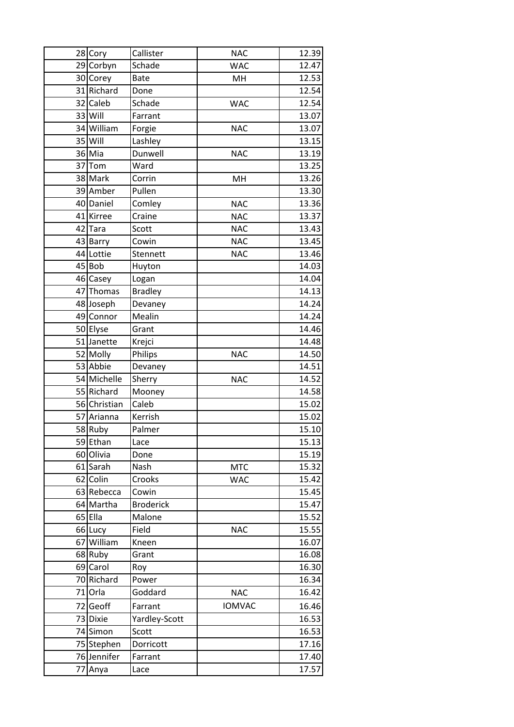| 28 Cory      | Callister        | <b>NAC</b>    | 12.39 |
|--------------|------------------|---------------|-------|
| 29 Corbyn    | Schade           | <b>WAC</b>    | 12.47 |
| 30 Corey     | <b>Bate</b>      | MH            | 12.53 |
| 31 Richard   | Done             |               | 12.54 |
| 32 Caleb     | Schade           | <b>WAC</b>    | 12.54 |
| 33 Will      | Farrant          |               | 13.07 |
| 34 William   | Forgie           | <b>NAC</b>    | 13.07 |
| 35 Will      | Lashley          |               | 13.15 |
| 36 Mia       | Dunwell          | <b>NAC</b>    | 13.19 |
| 37 Tom       | Ward             |               | 13.25 |
| 38 Mark      | Corrin           | MH            | 13.26 |
| 39 Amber     | Pullen           |               | 13.30 |
| 40 Daniel    | Comley           | <b>NAC</b>    | 13.36 |
| 41 Kirree    | Craine           | <b>NAC</b>    | 13.37 |
| 42 Tara      | Scott            | <b>NAC</b>    | 13.43 |
| 43 Barry     | Cowin            | <b>NAC</b>    | 13.45 |
| 44 Lottie    | Stennett         | <b>NAC</b>    | 13.46 |
| 45 Bob       | Huyton           |               | 14.03 |
| 46 Casey     | Logan            |               | 14.04 |
| 47 Thomas    | <b>Bradley</b>   |               | 14.13 |
| 48 Joseph    | Devaney          |               | 14.24 |
| 49 Connor    | Mealin           |               | 14.24 |
| 50 Elyse     | Grant            |               | 14.46 |
| 51 Janette   | Krejci           |               | 14.48 |
| 52 Molly     | Philips          | <b>NAC</b>    | 14.50 |
| 53 Abbie     | Devaney          |               | 14.51 |
| 54 Michelle  | Sherry           | <b>NAC</b>    | 14.52 |
| 55 Richard   | Mooney           |               | 14.58 |
| 56 Christian | Caleb            |               | 15.02 |
| 57 Arianna   | Kerrish          |               | 15.02 |
| 58 Ruby      | Palmer           |               | 15.10 |
| 59 Ethan     | Lace             |               | 15.13 |
| 60 Olivia    | Done             |               | 15.19 |
| 61 Sarah     | Nash             | <b>MTC</b>    | 15.32 |
| 62 Colin     | Crooks           | <b>WAC</b>    | 15.42 |
| 63 Rebecca   | Cowin            |               | 15.45 |
| 64 Martha    | <b>Broderick</b> |               | 15.47 |
| 65 Ella      | Malone           |               | 15.52 |
| 66 Lucy      | Field            | <b>NAC</b>    | 15.55 |
| 67 William   | Kneen            |               | 16.07 |
| 68 Ruby      | Grant            |               | 16.08 |
| 69 Carol     | Roy              |               | 16.30 |
| 70 Richard   | Power            |               | 16.34 |
| 71 Orla      | Goddard          | <b>NAC</b>    | 16.42 |
| 72 Geoff     | Farrant          | <b>IOMVAC</b> | 16.46 |
| 73 Dixie     | Yardley-Scott    |               | 16.53 |
| 74 Simon     | Scott            |               | 16.53 |
| 75 Stephen   | Dorricott        |               | 17.16 |
| 76 Jennifer  | Farrant          |               | 17.40 |
| 77 Anya      | Lace             |               | 17.57 |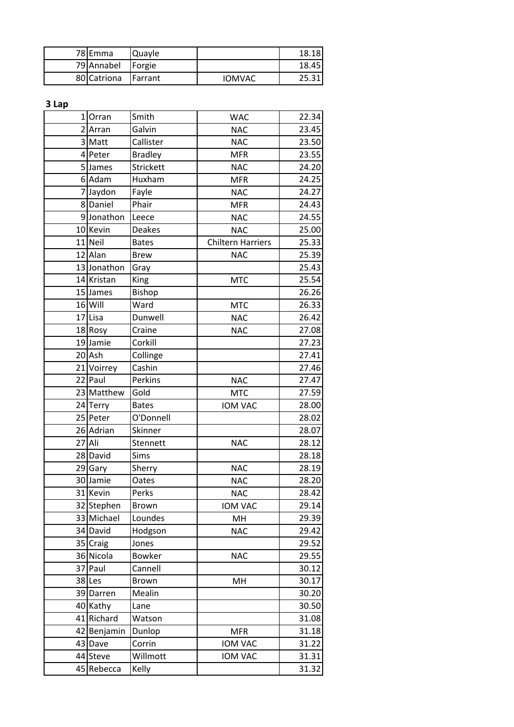| 78 Emma             | <b>IQuayle</b> |        | 18.18 |
|---------------------|----------------|--------|-------|
| 79 Annabel          | Forgie         |        | 18.45 |
| 80 Catriona Farrant |                | IOMVAC | 25.31 |

**3 Lap**

| ο ταλ |             |                |                          |       |
|-------|-------------|----------------|--------------------------|-------|
|       | 1 Orran     | Smith          | <b>WAC</b>               | 22.34 |
|       | 2 Arran     | Galvin         | <b>NAC</b>               | 23.45 |
|       | 3 Matt      | Callister      | <b>NAC</b>               | 23.50 |
|       | 4 Peter     | <b>Bradley</b> | <b>MFR</b>               | 23.55 |
|       | 5 James     | Strickett      | <b>NAC</b>               | 24.20 |
|       | 6 Adam      | Huxham         | <b>MFR</b>               | 24.25 |
|       | 7 Jaydon    | Fayle          | <b>NAC</b>               | 24.27 |
|       | 8 Daniel    | Phair          | <b>MFR</b>               | 24.43 |
|       | 9Jonathon   | Leece          | <b>NAC</b>               | 24.55 |
|       | 10 Kevin    | <b>Deakes</b>  | <b>NAC</b>               | 25.00 |
|       | 11 Neil     | <b>Bates</b>   | <b>Chiltern Harriers</b> | 25.33 |
|       | 12 Alan     | <b>Brew</b>    | <b>NAC</b>               | 25.39 |
|       | 13 Jonathon | Gray           |                          | 25.43 |
|       | 14 Kristan  | King           | <b>MTC</b>               | 25.54 |
|       | 15 James    | Bishop         |                          | 26.26 |
|       | 16 Will     | Ward           | <b>MTC</b>               | 26.33 |
|       | 17 Lisa     | Dunwell        | <b>NAC</b>               | 26.42 |
|       | 18 Rosy     | Craine         | <b>NAC</b>               | 27.08 |
|       | 19 Jamie    | Corkill        |                          | 27.23 |
|       | 20 Ash      | Collinge       |                          | 27.41 |
|       | 21 Voirrey  | Cashin         |                          | 27.46 |
|       | 22 Paul     | Perkins        | <b>NAC</b>               | 27.47 |
|       | 23 Matthew  | Gold           | <b>MTC</b>               | 27.59 |
|       | 24 Terry    | <b>Bates</b>   | <b>IOM VAC</b>           | 28.00 |
|       | 25 Peter    | O'Donnell      |                          | 28.02 |
|       | 26 Adrian   | Skinner        |                          | 28.07 |
|       | 27 Ali      | Stennett       | <b>NAC</b>               | 28.12 |
|       | 28 David    | Sims           |                          | 28.18 |
|       | 29 Gary     | Sherry         | <b>NAC</b>               | 28.19 |
|       | 30 Jamie    | Oates          | <b>NAC</b>               | 28.20 |
|       | $31$ Kevin  | Perks          | <b>NAC</b>               | 28.42 |
|       | 32 Stephen  | <b>Brown</b>   | <b>IOM VAC</b>           | 29.14 |
|       | 33 Michael  | Loundes        | MH                       | 29.39 |
|       | 34 David    | Hodgson        | <b>NAC</b>               | 29.42 |
|       | 35 Craig    | Jones          |                          | 29.52 |
|       | 36 Nicola   | <b>Bowker</b>  | <b>NAC</b>               | 29.55 |
|       | 37 Paul     | Cannell        |                          | 30.12 |
|       | 38 Les      | Brown          | MН                       | 30.17 |
|       | 39 Darren   | Mealin         |                          | 30.20 |
|       | 40 Kathy    | Lane           |                          | 30.50 |
|       | 41 Richard  | Watson         |                          | 31.08 |
|       | 42 Benjamin | Dunlop         | <b>MFR</b>               | 31.18 |
|       | 43 Dave     | Corrin         | IOM VAC                  | 31.22 |
|       | 44 Steve    | Willmott       | IOM VAC                  | 31.31 |
|       | 45 Rebecca  | Kelly          |                          | 31.32 |